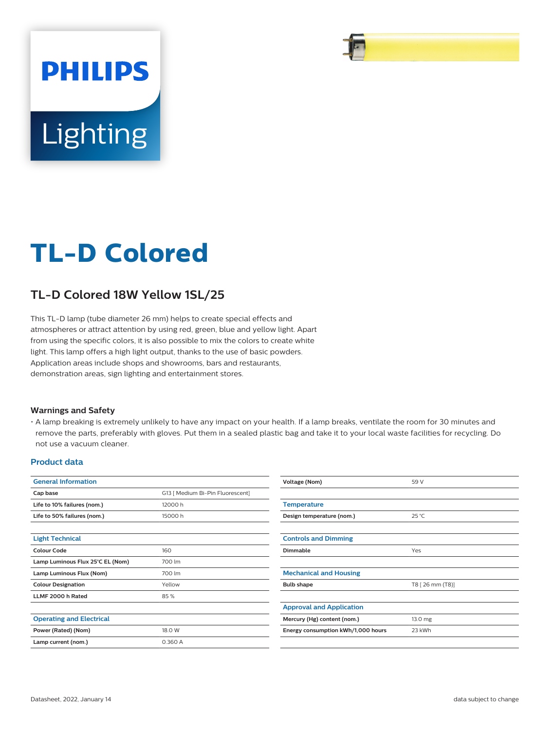

# **TL-D Colored**

# **TL-D Colored 18W Yellow 1SL/25**

This TL-D lamp (tube diameter 26 mm) helps to create special effects and atmospheres or attract attention by using red, green, blue and yellow light. Apart from using the specific colors, it is also possible to mix the colors to create white light. This lamp offers a high light output, thanks to the use of basic powders. Application areas include shops and showrooms, bars and restaurants, demonstration areas, sign lighting and entertainment stores.

#### **Warnings and Safety**

• A lamp breaking is extremely unlikely to have any impact on your health. If a lamp breaks, ventilate the room for 30 minutes and remove the parts, preferably with gloves. Put them in a sealed plastic bag and take it to your local waste facilities for recycling. Do not use a vacuum cleaner.

#### **Product data**

| <b>General Information</b>       |                                  | Voltage (Nom)                      | 59 V             |  |
|----------------------------------|----------------------------------|------------------------------------|------------------|--|
| Cap base                         | G13   Medium Bi-Pin Fluorescent] |                                    |                  |  |
| Life to 10% failures (nom.)      | 12000h                           | <b>Temperature</b>                 |                  |  |
| Life to 50% failures (nom.)      | 15000h                           | Design temperature (nom.)          | $25^{\circ}$ C   |  |
| <b>Light Technical</b>           |                                  | <b>Controls and Dimming</b>        |                  |  |
| <b>Colour Code</b>               | 160                              | Dimmable                           | Yes              |  |
| Lamp Luminous Flux 25°C EL (Nom) | 700 lm                           |                                    |                  |  |
| Lamp Luminous Flux (Nom)         | 700 lm                           | <b>Mechanical and Housing</b>      |                  |  |
| <b>Colour Designation</b>        | Yellow                           | <b>Bulb shape</b>                  | T8 [ 26 mm (T8)] |  |
| LLMF 2000 h Rated                | 85%                              |                                    |                  |  |
|                                  |                                  | <b>Approval and Application</b>    |                  |  |
| <b>Operating and Electrical</b>  |                                  | Mercury (Hg) content (nom.)        | 13.0 mg          |  |
| Power (Rated) (Nom)              | 18.0 W                           | Energy consumption kWh/1,000 hours | 23 kWh           |  |
| Lamp current (nom.)              | 0.360 A                          |                                    |                  |  |